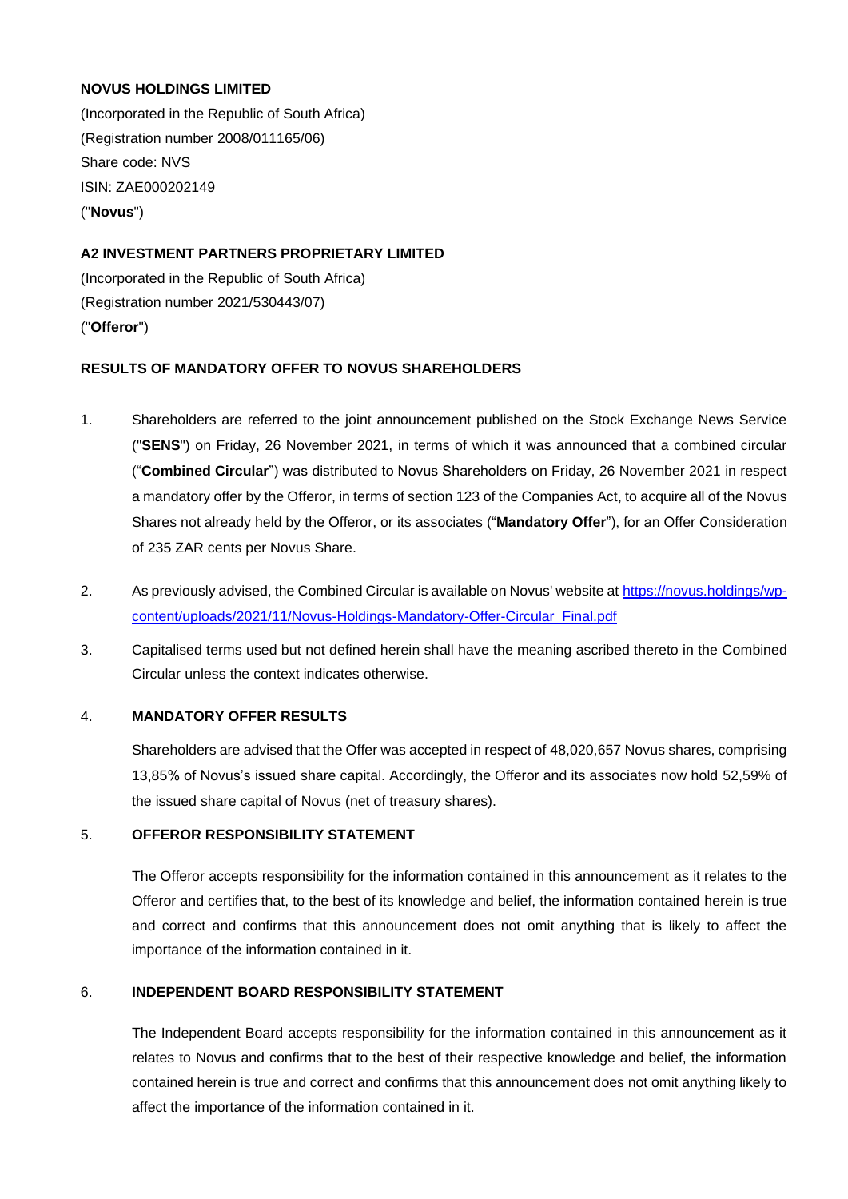### **NOVUS HOLDINGS LIMITED**

(Incorporated in the Republic of South Africa) (Registration number 2008/011165/06) Share code: NVS ISIN: ZAE000202149 ("**Novus**")

# **A2 INVESTMENT PARTNERS PROPRIETARY LIMITED**

(Incorporated in the Republic of South Africa) (Registration number 2021/530443/07) ("**Offeror**")

### **RESULTS OF MANDATORY OFFER TO NOVUS SHAREHOLDERS**

- 1. Shareholders are referred to the joint announcement published on the Stock Exchange News Service ("**SENS**") on Friday, 26 November 2021, in terms of which it was announced that a combined circular ("**Combined Circular**") was distributed to Novus Shareholders on Friday, 26 November 2021 in respect a mandatory offer by the Offeror, in terms of section 123 of the Companies Act, to acquire all of the Novus Shares not already held by the Offeror, or its associates ("**Mandatory Offer**"), for an Offer Consideration of 235 ZAR cents per Novus Share.
- 2. As previously advised, the Combined Circular is available on Novus' website at [https://novus.holdings/wp](https://novus.holdings/wp-content/uploads/2021/11/Novus-Holdings-Mandatory-Offer-Circular_Final.pdf)[content/uploads/2021/11/Novus-Holdings-Mandatory-Offer-Circular\\_Final.pdf](https://novus.holdings/wp-content/uploads/2021/11/Novus-Holdings-Mandatory-Offer-Circular_Final.pdf)
- 3. Capitalised terms used but not defined herein shall have the meaning ascribed thereto in the Combined Circular unless the context indicates otherwise.

### 4. **MANDATORY OFFER RESULTS**

Shareholders are advised that the Offer was accepted in respect of 48,020,657 Novus shares, comprising 13,85% of Novus's issued share capital. Accordingly, the Offeror and its associates now hold 52,59% of the issued share capital of Novus (net of treasury shares).

## 5. **OFFEROR RESPONSIBILITY STATEMENT**

The Offeror accepts responsibility for the information contained in this announcement as it relates to the Offeror and certifies that, to the best of its knowledge and belief, the information contained herein is true and correct and confirms that this announcement does not omit anything that is likely to affect the importance of the information contained in it.

#### 6. **INDEPENDENT BOARD RESPONSIBILITY STATEMENT**

The Independent Board accepts responsibility for the information contained in this announcement as it relates to Novus and confirms that to the best of their respective knowledge and belief, the information contained herein is true and correct and confirms that this announcement does not omit anything likely to affect the importance of the information contained in it.